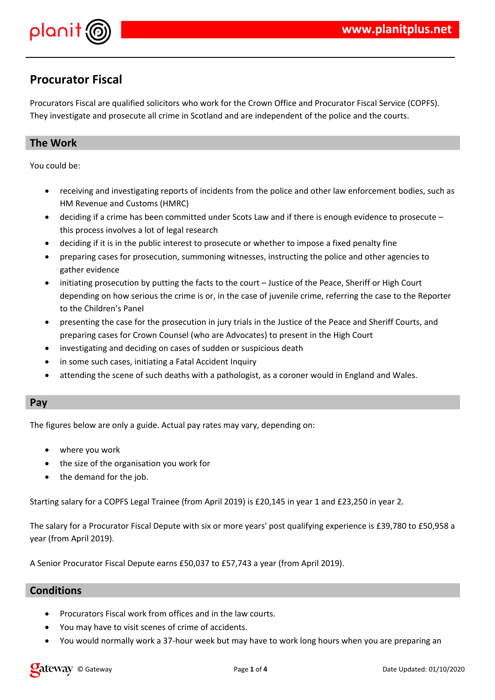

# **Procurator Fiscal**

Procurators Fiscal are qualified solicitors who work for the Crown Office and Procurator Fiscal Service (COPFS). They investigate and prosecute all crime in Scotland and are independent of the police and the courts.

## **The Work**

You could be:

- receiving and investigating reports of incidents from the police and other law enforcement bodies, such as HM Revenue and Customs (HMRC)
- deciding if a crime has been committed under Scots Law and if there is enough evidence to prosecute this process involves a lot of legal research
- deciding if it is in the public interest to prosecute or whether to impose a fixed penalty fine
- preparing cases for prosecution, summoning witnesses, instructing the police and other agencies to gather evidence
- initiating prosecution by putting the facts to the court Justice of the Peace, Sheriff or High Court depending on how serious the crime is or, in the case of juvenile crime, referring the case to the Reporter to the Children's Panel
- presenting the case for the prosecution in jury trials in the Justice of the Peace and Sheriff Courts, and preparing cases for Crown Counsel (who are Advocates) to present in the High Court
- investigating and deciding on cases of sudden or suspicious death
- in some such cases, initiating a Fatal Accident Inquiry
- attending the scene of such deaths with a pathologist, as a coroner would in England and Wales.

### **Pay**

The figures below are only a guide. Actual pay rates may vary, depending on:

- where you work
- the size of the organisation you work for
- the demand for the job.

Starting salary for a COPFS Legal Trainee (from April 2019) is £20,145 in year 1 and £23,250 in year 2.

The salary for a Procurator Fiscal Depute with six or more years' post qualifying experience is £39,780 to £50,958 a year (from April 2019).

A Senior Procurator Fiscal Depute earns £50,037 to £57,743 a year (from April 2019).

# **Conditions**

- Procurators Fiscal work from offices and in the law courts.
- You may have to visit scenes of crime of accidents.
- You would normally work a 37-hour week but may have to work long hours when you are preparing an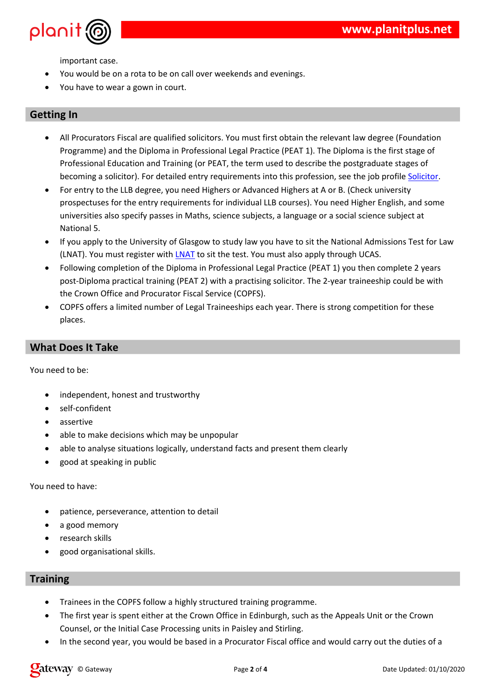$\overline{(\ }$  $\boldsymbol{\alpha}$  $\ddot{\phantom{1}}$  $#$  $\overline{)}$  $#$  &  $\frac{1}{2}$  #  $\alpha$ 

%<br>
(  $\frac{1}{7}$  \$ 75' % &<br>
(  $\frac{1}{5}$  \$ 75' % &<br>
(  $\frac{1}{7}$  \$ 75' % &<br>
(  $\frac{1}{7}$  + 0  $\frac{1}{7}$  + 0  $\frac{1}{7}$  + 0  $\frac{1}{7}$  + 0  $\frac{1}{7}$  + 0  $\frac{1}{7}$  + 0  $\frac{1}{7}$  + 0  $\frac{1}{7}$  + 0  $\frac{1}{7}$  + 0  $\frac{1}{7}$  + 0  $\frac{1}{7$  $5<sup>5</sup>$  $( ( 96)$  $\begin{matrix} \star \\ \end{matrix}$  $^{+3}$  \*  $^{+3}$  \*  $^{+2}$  \*  $^{+3}$   $^{+2}$   $^{+3}$   $^{+2}$   $^{+3}$   $^{+2}$   $^{+4}$  \*  $^{+2}$   $^{+2}$  \*  $^{+2}$  \*  $^{+2}$  \*  $^{+2}$  \*  $^{+2}$  \*  $^{+2}$  \*  $^{+2}$  \*  $^{+2}$  \*  $^{+2}$  \*  $^{+2}$  \*  $^{+2}$  \*  $^{+2}$  \*  $^{+2}$  \*  $^{+2}$  \*  $^{+2}$  \*  $5$  #<br>#  $\overline{(\ }$  $*3$  $*3$  $#$  $+$  $D = 8$  $\frac{1}{8}$  (<br>  $\frac{1}{8}$  T 5 '%<br>
(<br>  $\frac{1}{8}$  7 5 '%<br>
(  $#$ 6 6 #<br>\$/D5'%&) ( <u>/D5</u>'  $$75\%$  (<br>& B \*  $\begin{array}{ccc} & & ( & \\ \mathsf{B} & & ( & \end{array}$  $\sqrt{2}$  $\overline{a}$  $\begin{array}{ccccc}\n\text{\$} & & \text{\^} & & \text{\^} & \\
\text{\$} & & 75' & & \text{\%}\n\end{array}$  $\#$  \$!  $\begin{array}{c}\n\ddots \\
\vdots \\
\vdots \\
\vdots\n\end{array}$ " %  $\&$  $($   $/($   $\star$   $)$  $8'$  (  $\frac{1}{8}$ 



 $\ddot{+}$  $\,6\,$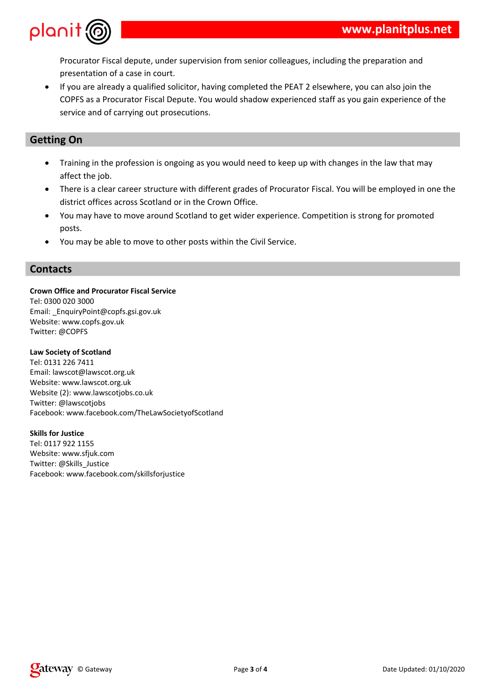

Procurator Fiscal depute, under supervision from senior colleagues, including the preparation and presentation of a case in court.

 If you are already a qualified solicitor, having completed the PEAT 2 elsewhere, you can also join the COPFS as a Procurator Fiscal Depute. You would shadow experienced staff as you gain experience of the service and of carrying out prosecutions.

## **Getting On**

- Training in the profession is ongoing as you would need to keep up with changes in the law that may affect the job.
- There is a clear career structure with different grades of Procurator Fiscal. You will be employed in one the district offices across Scotland or in the Crown Office.
- You may have to move around Scotland to get wider experience. Competition is strong for promoted posts.
- You may be able to move to other posts within the Civil Service.

### **Contacts**

#### **Crown Office and Procurator Fiscal Service**

Tel: 0300 020 3000 Email: \_EnquiryPoint@copfs.gsi.gov.uk Website: www.copfs.gov.uk Twitter: @COPFS

#### **Law Society of Scotland**

Tel: 0131 226 7411 Email: lawscot@lawscot.org.uk Website: www.lawscot.org.uk Website (2): www.lawscotjobs.co.uk Twitter: @lawscotjobs Facebook: www.facebook.com/TheLawSocietyofScotland

**Skills for Justice** Tel: 0117 922 1155 Website: www.sfjuk.com Twitter: @Skills\_Justice Facebook: www.facebook.com/skillsforjustice